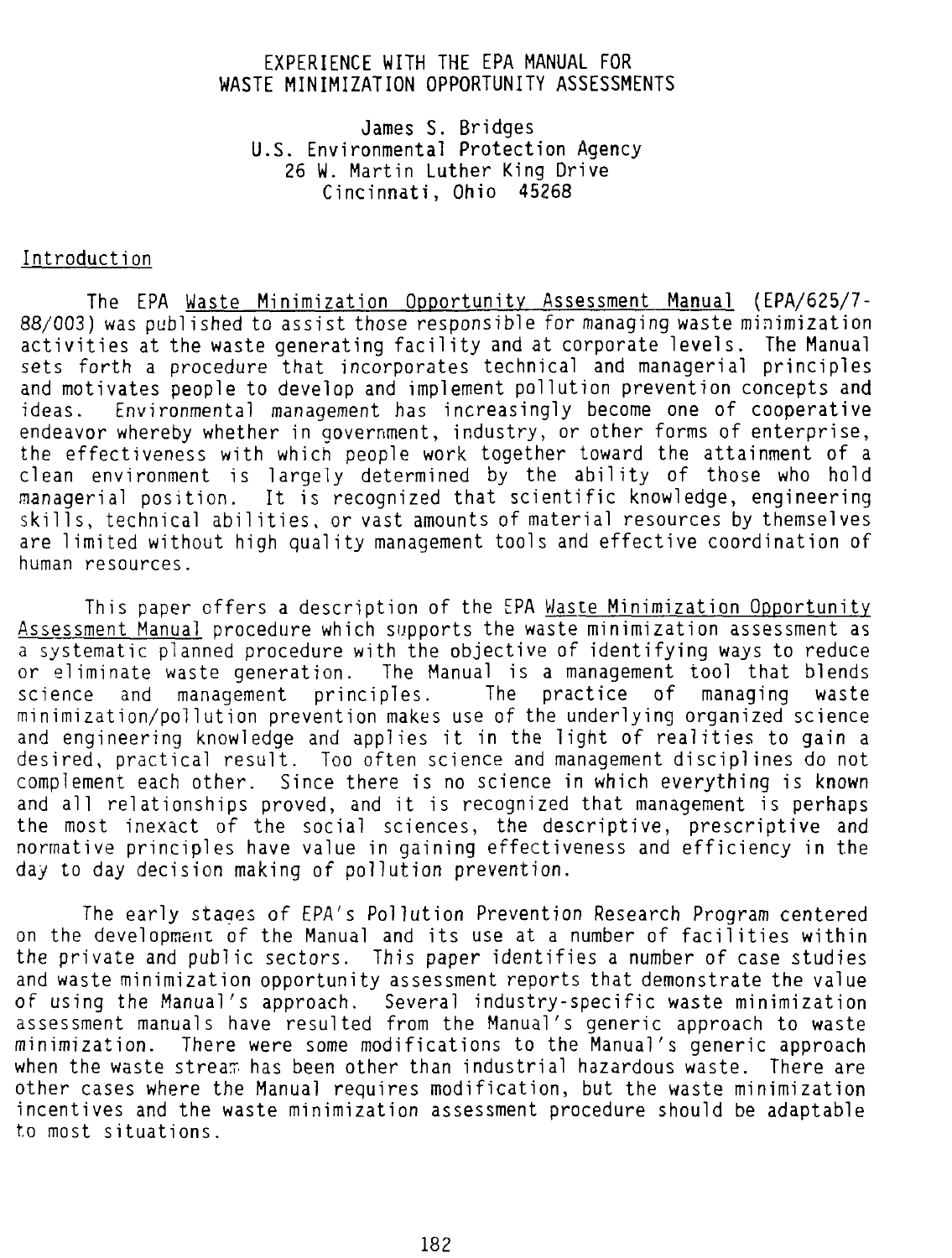## EXPERIENCE WITH THE EPA MANUAL FOR WASTE MINIMIZATION OPPORTUNITY ASSESSMENTS

James S. Bridges U.S. Environmental Protection Agency 26 W. Martin Luther King Drive Cincinnati, Ohio 45268

## Introduction

The EPA Waste Minimization Opportunity Assessment Manual (EPA/625/7- 88/003) was published to assist those responsible for managing waste minimization activities at the waste generating facility and at corporate levels. The Manual sets forth a procedure that incorporates technical and managerial principles and motivates people to develop and implement pollution prevention concepts and ideas. Environmental management has increasingly become one of cooperative endeavor whereby whether in government, industry, or other forms of enterprise, the effectiveness with which people work together toward the attainment of a clean environment is largely determined by the ability of those who hold managerial position. It is recognized that scientific knowledge, engineering skills, technical abilities, or vast amounts of material resources by themselves are limited without high quality management tools and effective coordination of human resources.

This paper offers a description of the EPA Waste Minimization Opportunity Assessment Manual procedure which supports the waste minimization assessment as a systematic planned procedure with the objective of identifying ways to reduce or eliminate waste generation. The Manual is a management tool that blends<br>science and management principles. The practice of managing waste science and management principles. The practice of managing waste minimization/pollution prevention makes use of the underlying organized science and engineering knowledge and applies it in the light of realities to gain a desired, practical result. Too often science and management disciplines do not complement each other. Since there is no science in which everything is known and all relationships proved, and it is recognized that management is perhaps the most inexact of the social sciences, the descriptive, prescriptive and normative principles have value in gaining effectiveness and efficiency in the day to day decision making of pollution prevention.

The early stages of EPA's Pollution Prevention Research Program centered on the development of the Manual and its use at a number of facilities within the private and public sectors. This paper identifies a number of case studies and waste minimization opportunity assessment reports that demonstrate the value of using the Manual's approach. Several industry-specific waste minimization assessment manuals have resulted from the Manual's generic approach to waste minimization. There were some modifications to the Manual's generic approach when the waste stream has been other than industrial hazardous waste. There are other cases where the Manual requires modification, but the waste minimization incentives and the waste minimization assessment procedure should be adaptable to most situations.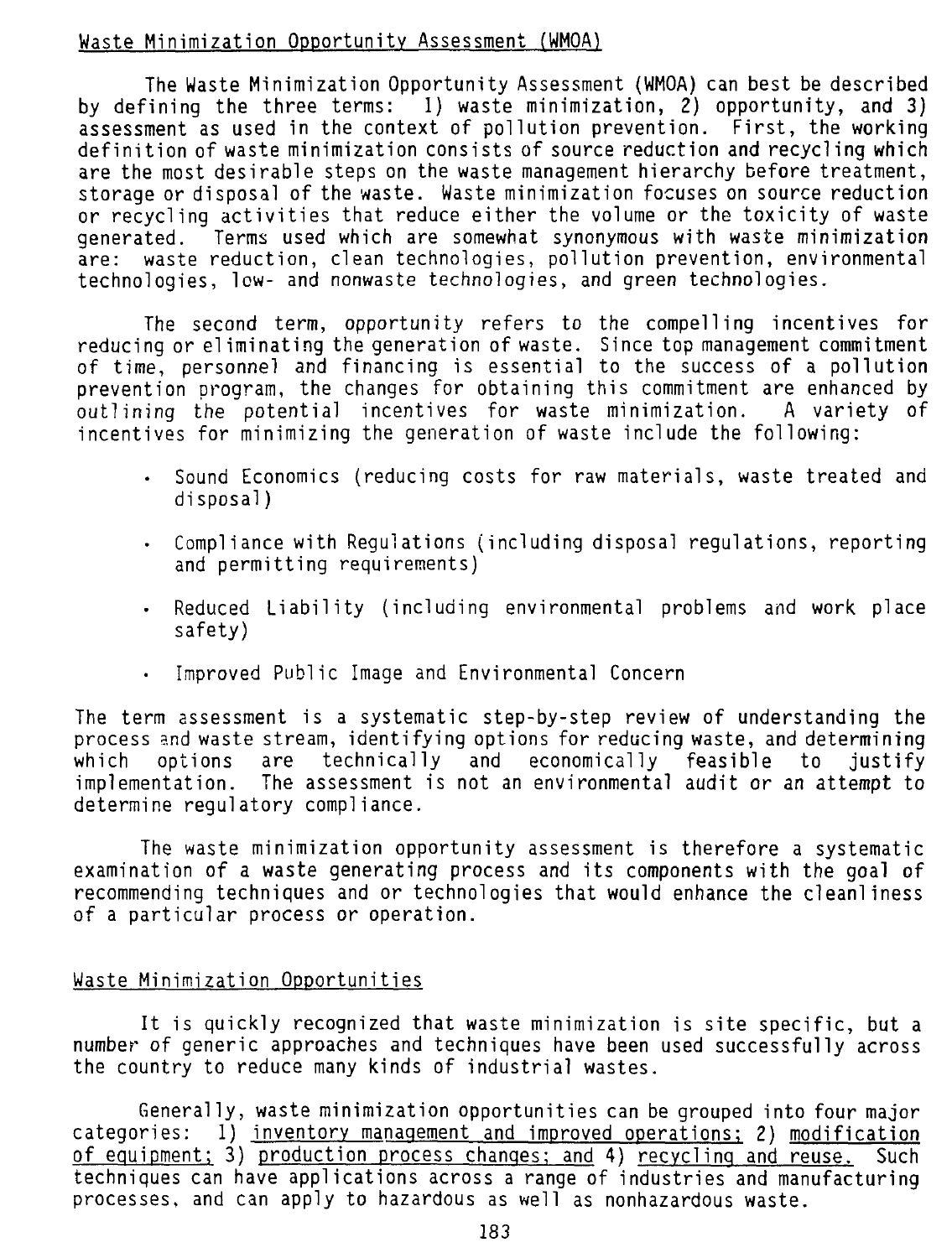# Waste Minimization Opportunity Assessment (WMOA)

The Waste Minimization Opportunity Assessment (WMOA) can best be described by defining the three terms:  $1)$  waste minimization, 2) opportunity, and 3) assessment as used in the context of pollution prevention. First, the working definition of waste minimization consists of source reduction and recycling which are the most desirable steps on the waste management hierarchy before treatment, storage or disposal of the waste. Waste minimization focuses on source reduction or recycling activities that reduce either the volume or the toxicity of waste generated. Terms used which are somewhat synonymous with waste minimization are: waste reduction, clean technologies, pollution prevention, environmental technologies, low- and nonwaste technologies, and green technologies.

The second term, opportunity refers to the compelling incentives for reducing or eliminating the generation of waste. Since top management commitment of time, personnel and financing is essential to the success of a pollution prevention program, the changes for obtaining this commitment are enhanced by<br>outlining the potential incentives for waste minimization. A variety of outlining the potential incentives for waste minimization. incentives for minimizing the generation of waste include the following:

- . Sound Economics (reducing costs for raw materials, waste treated and disposal)
- $\bullet$ Compliance with Regulations (including disposal regulations, reporting and permitting requirements)
- Reduced Liability (including environmental problems and work place  $\bullet$  . safety)
- Improved Public Image and Environmental Concern

The term assessment is a systematic step-by-step review of understanding the process and waste stream, identifying options for reducing waste, and determining which options are technically and economically feasible to justify implementation. The assessment is not an environmental audit or an attempt to determine regulatory compliance.

The waste minimization opportunity assessment is therefore a systematic examination of a waste generating process and its components with the goal of recommending techniques and or technologies that would enhance the cleanliness of a particular process or operation.

#### Waste Minimization Opportunities

It is quickly recognized that waste minimization is site specific, but a number of generic approaches and techniques have been used successfully across the country to reduce many kinds of industrial wastes.

Generally, waste minimization opportunities can be grouped into four major categories: 1) inventory management and improved operations; 2) modification of equipment; 3) production process changes; and 4) recycling and reuse. Such techniques can have applications across a range of industries and manufacturing processes, and can apply to hazardous as well as nonhazardous waste.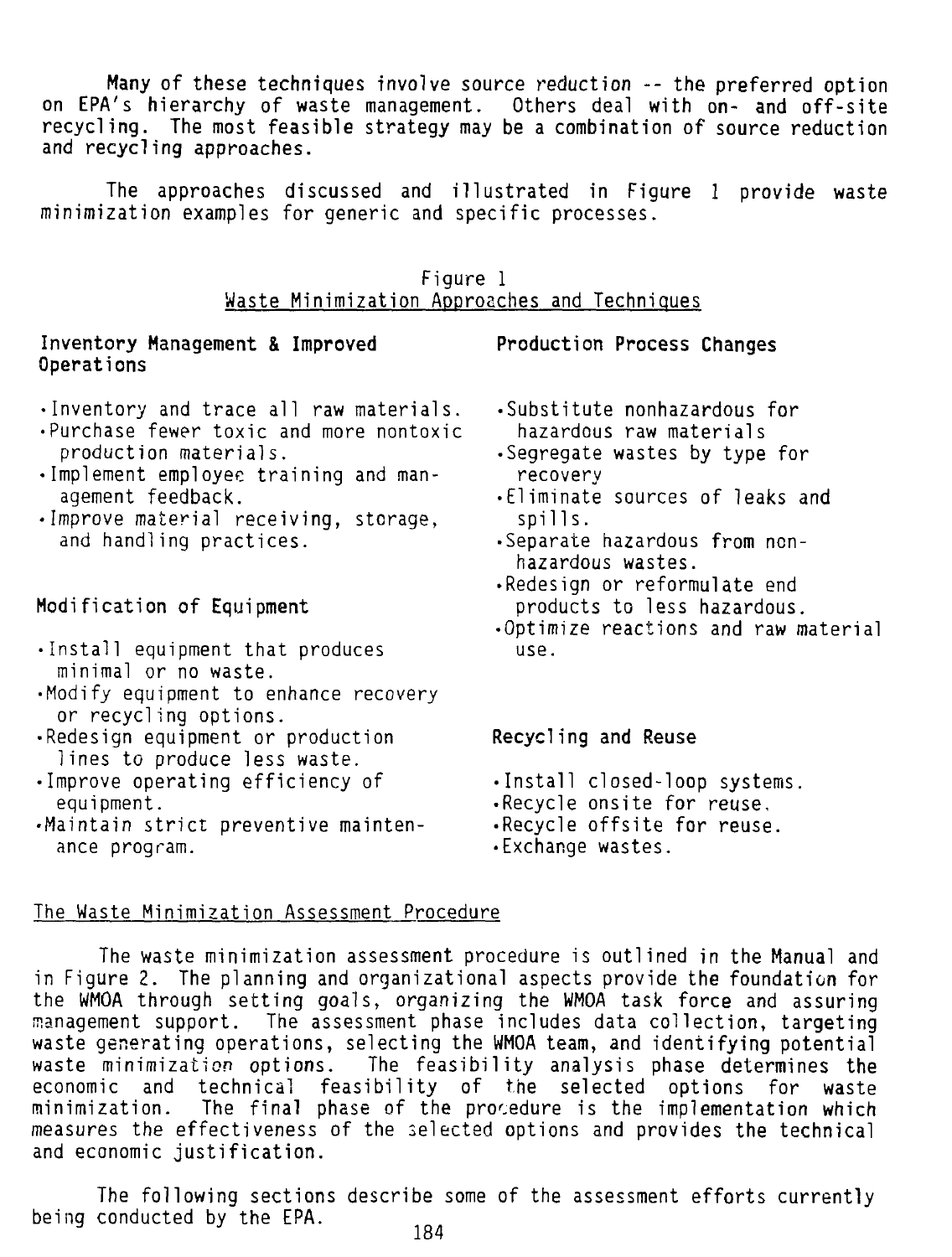**Many** of these techniques involve source reduction -- the preferred option on EPA's hierarchy of waste management. Others deal with on- and off-site recycling. The most feasible strategy may be a combination of source reduction and recycling approaches.

The approaches discussed and illustrated in Figure 1 provide waste minimization examples for generic and specific processes.

|                                              | Figure 1 |  |
|----------------------------------------------|----------|--|
| Waste Minimization Approaches and Techniques |          |  |

## Inventory Management & **Improved** Operations

- •Inventory and trace all raw materials.
- •Purchase fewer toxic and more nontoxic production materials.
- •Implement employee training and management feedback.
- •Improve material receiving, storage, and handling practices.

# Modification of Equipment

- •Install equipment that produces minimal or no waste.
- •Modify equipment to enhance recovery or recycling options.
- •Redesign equipment or production lines to produce less waste.
- •Improve operating efficiency of equipment.
- •Maintain strict preventive maintenance program.

•Substitute nonhazardous for hazardous raw materials

Production **Process Changes**

- •Segregate wastes by type for recovery
- •Eliminate sources of leaks and spills.
- •Separate hazardous from nonhazardous wastes.
- •Redesign or reformulate end products to less hazardous.
- •Optimize reactions and raw material use.

#### Recycling and Reuse

- •Install closed-loop systems.
- •Recycle onsite for reuse,
- •Recycle offsite for reuse.
- •Exchange wastes.

## The Waste Minimization Assessment Procedure

The waste minimization assessment procedure is outlined in the Manual and in Figure 2. The planning and organizational aspects provide the foundation for the WMOA through setting goals, organizing the WMOA task force and assuring management support. The assessment phase includes data collection, targeting waste generating operations, selecting the WMOA team, and identifying potential waste minimization options. The feasibility analysis phase determines the economic and technical feasibility of the selected options for waste minimization. The final phase of the procedure is the implementation which measures the effectiveness of the selected options and provides the technical and economic justification.

The following sections describe some of the assessment efforts currently being conducted by the EPA.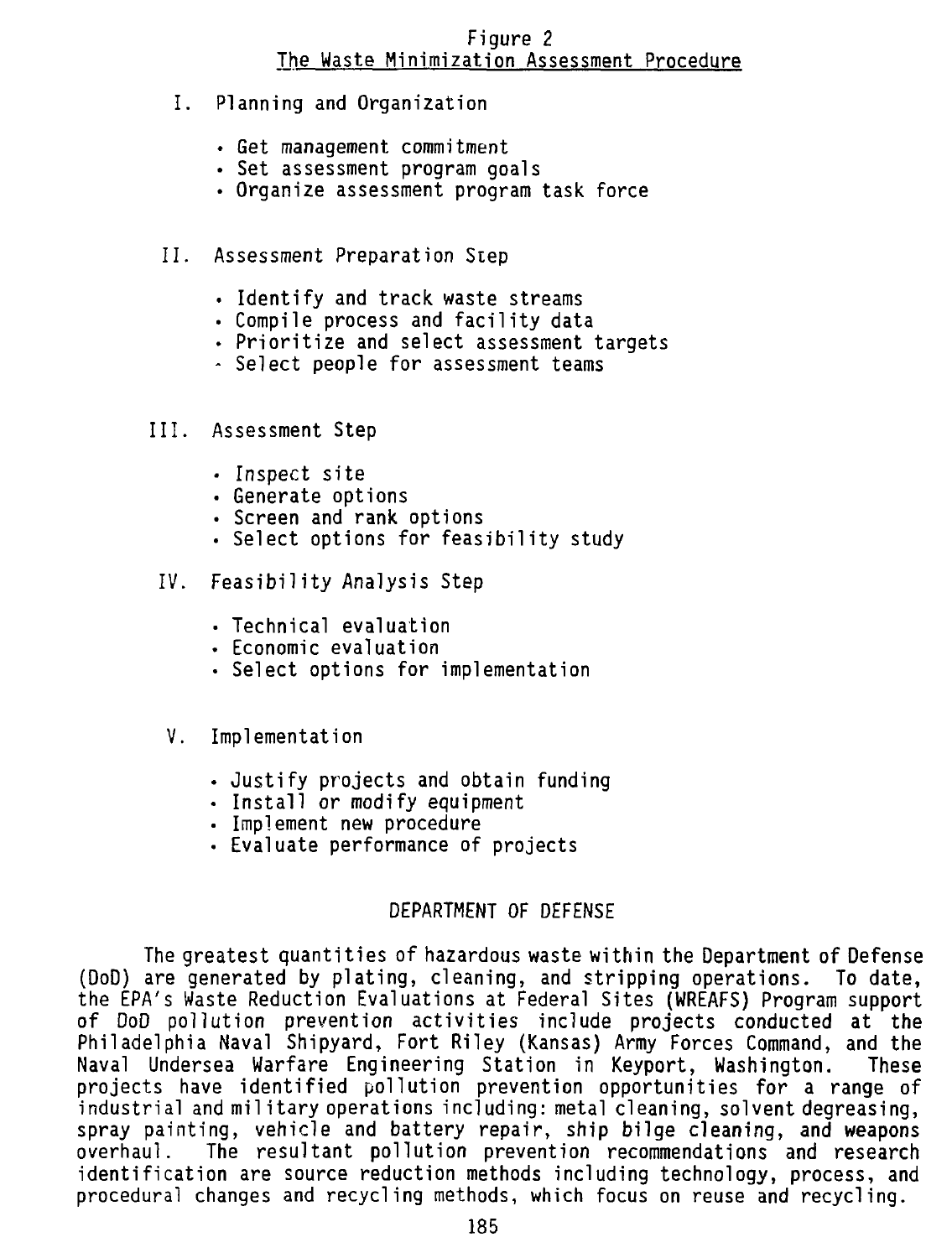# **Figure 2 The Waste Minimization Assessment Procedure**

- **I. Planning and Organization**
	- **Get management commitment**
	- **Set assessment program goals**
	- **Organize assessment program task force**
- **II. Assessment Preparation Step**
	- **Identify and track waste streams**
	- **Compile process and facility data**
	- **Prioritize and select assessment targets**
	- **Select people for assessment teams**
- **III. Assessment Step**
	- **Inspect site**
	- **Generate options**
	- **Screen and rank options**
	- **Select options for feasibility study**
- **IV. Feasibility Analysis Step**
	- **Technical evaluation**
	- **Economic evaluation**
	- **Select options for implementation**
- **V. Implementation**
	- **Justify projects and obtain funding**
	- **Install or modify equipment**
	- **Implement new procedure**
	- **Evaluate performance of projects**

# **DEPARTMENT OF DEFENSE**

**The greatest quantities of hazardous waste within the Department of Defense (DoD) are generated by plating, cleaning, and stripping operations. To date, the EPA's Waste Reduction Evaluations at Federal Sites (WREAFS) Program support of DoD pollution prevention activities include projects conducted at the Philadelphia Naval Shipyard, Fort Riley (Kansas) Army Forces Command, and the Naval Undersea Warfare Engineering Station in Keyport, Washington. These projects have identified pollution prevention opportunities for a range of industrial and mil itary operations including: metal cleaning, solvent degreasing, spray painting, vehicle and battery repair, ship bilge cleaning, and weapons overhaul. The resultant pollution prevention recommendations and research identification are source reduction methods including technology, process, and procedural changes and recycling methods, which focus on reuse and recycling.**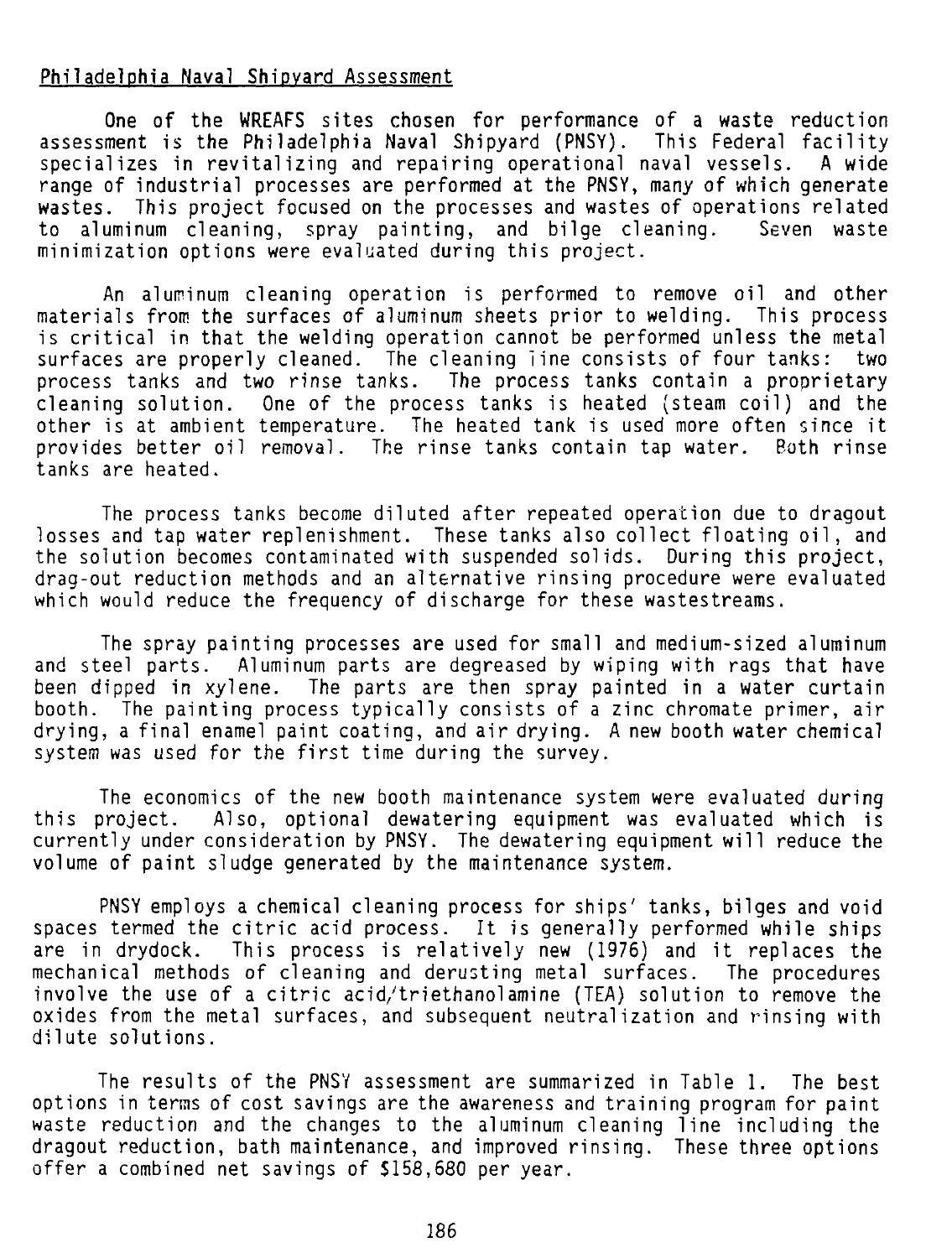### Philadelphia Naval Shipyard Assessment

One of the WREAFS sites chosen for performance of a waste reduction assessment is the Philadelphia Naval Shipyard (PNSY). This Federal facility specializes in revitalizing and repairing operational naval vessels. A wide range of industrial processes are performed at the PNSY, many of which generate wastes. This project focused on the processes and wastes of operations related to aluminum cleaning, spray painting, and bilge cleaning. Seven waste minimization options were evaluated during this project.

An aluminum cleaning operation is performed to remove oil and other materials from the surfaces of aluminum sheets prior to welding. This process is critical in that the welding operation cannot be performed unless the metal surfaces are properly cleaned. The cleaning line consists of four tanks: two process tanks and two rinse tanks. The process tanks contain a proprietary cleaning solution. One of the process tanks is heated (steam coil) and the other is at ambient temperature. The heated tank is used more often since it provides better oil removal. The rinse tanks contain tap water. Both rinse tanks are heated.

The process tanks become diluted after repeated operation due to dragout losses and tap water replenishment. These tanks also collect floating oil, and the solution becomes contaminated with suspended solids. During this project, drag-out reduction methods and an alternative rinsing procedure were evaluated which would reduce the frequency of discharge for these wastestreams.

The spray painting processes are used for small and medium-sized aluminum and steel parts. Aluminum parts are degreased by wiping with rags that have been dipped in xylene. The parts are then spray painted in a water curtain booth. The painting process typically consists of a zinc chromate primer, air drying, a final enamel paint coating, and air drying. A new booth water chemical system was used for the first time during the survey.

The economics of the new booth maintenance system were evaluated during this project. Also, optional dewatering equipment was evaluated which is currently under consideration by PNSY. The dewatering equipment will reduce the volume of paint sludge generated by the maintenance system.

PNSY employs a chemical cleaning process for ships' tanks, bilges and void spaces termed the citric acid process. It is generally performed while ships are in drydock. This process is relatively new (1976) and it replaces the mechanical methods of cleaning and derusting metal surfaces. The procedures involve the use of a citric acid/triethanolamine (TEA) solution to remove the oxides from the metal surfaces, and subsequent neutralization and rinsing with dilute solutions.

The results of the PNSY assessment are summarized in Table 1. The best options in terras of cost savings are the awareness and training program for paint waste reduction and the changes to the aluminum cleaning line including the dragout reduction, bath maintenance, and improved rinsing. These three options offer a combined net savings of 5158,680 per year.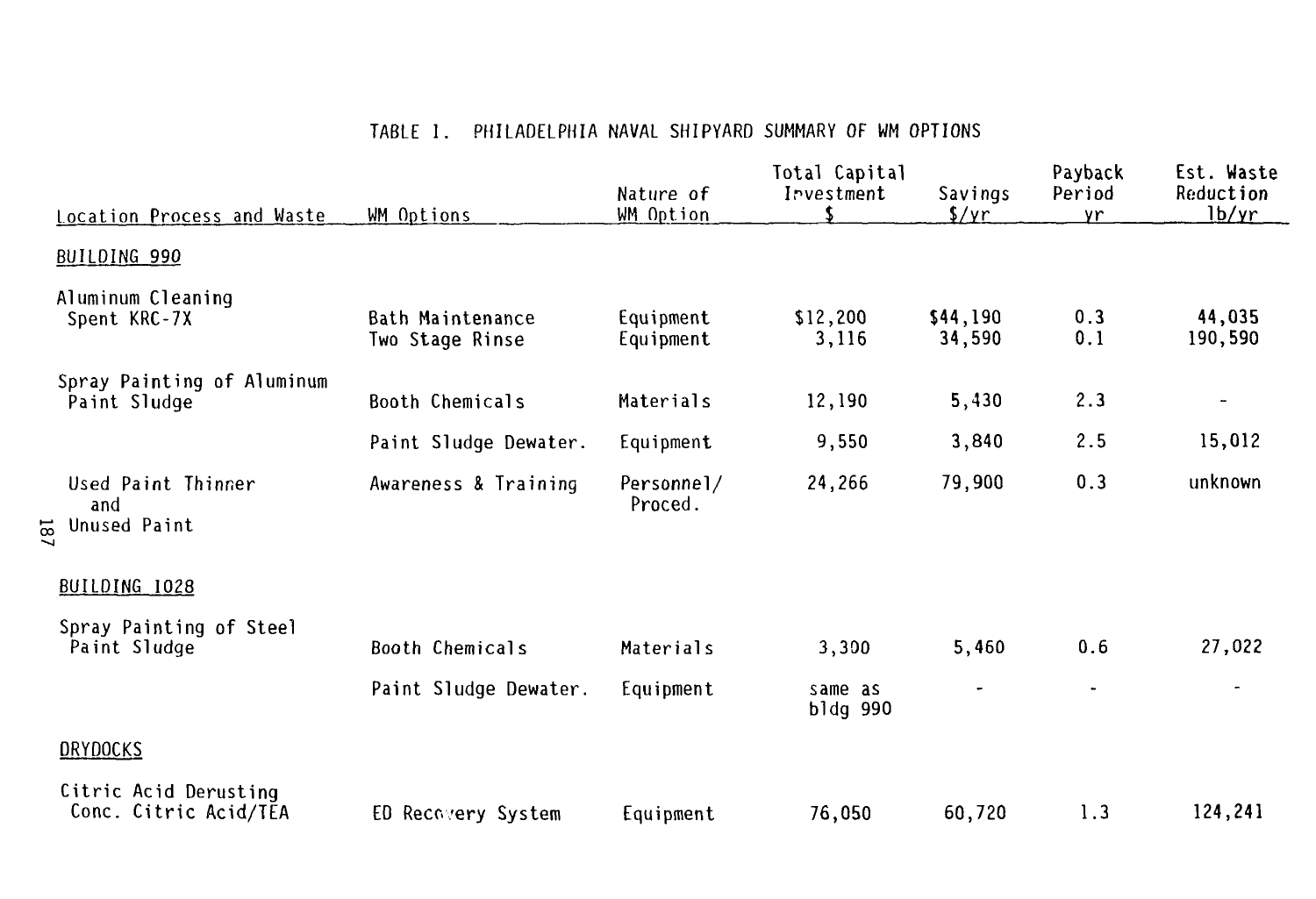# TABLE 1. PHILADELPHIA NAVAL SHIPYARD SUMMARY OF WM OPTIONS

| Location Process and Waste                                   | WM Options                                 | Nature of<br>WM Option | Total Capital<br>Investment | Savings<br>$\frac{5}{yr}$ | Payback<br>Period<br>yr. | Est. Waste<br>Reduction<br>1 <sub>b</sub> /yr |
|--------------------------------------------------------------|--------------------------------------------|------------------------|-----------------------------|---------------------------|--------------------------|-----------------------------------------------|
| BUILDING 990                                                 |                                            |                        |                             |                           |                          |                                               |
| Aluminum Cleaning<br>Spent KRC-7X                            | <b>Bath Maintenance</b><br>Two Stage Rinse | Equipment<br>Equipment | \$12,200<br>3,116           | \$44,190<br>34,590        | 0.3<br>0.1               | 44,035<br>190,590                             |
| Spray Painting of Aluminum<br>Paint Sludge                   | Booth Chemicals                            | Materials              | 12,190                      | 5,430                     | 2.3                      | $\sim$                                        |
|                                                              | Paint Sludge Dewater.                      | Equipment              | 9,550                       | 3,840                     | 2.5                      | 15,012                                        |
| Used Paint Thinner<br>and<br>Unused Paint<br>18 <sub>1</sub> | Awareness & Training                       | Personnel/<br>Proced.  | 24,266                      | 79,900                    | 0.3                      | unknown                                       |
| BUILDING 1028                                                |                                            |                        |                             |                           |                          |                                               |
| Spray Painting of Steel<br>Paint Sludge                      | Booth Chemicals                            | Materials              | 3,300                       | 5,460                     | 0.6                      | 27,022                                        |
|                                                              | Paint Sludge Dewater.                      | Equipment              | same as<br>bldg 990         | $\tilde{\phantom{a}}$     | $\overline{\phantom{a}}$ |                                               |
| <b>DRYDOCKS</b>                                              |                                            |                        |                             |                           |                          |                                               |
| Citric Acid Derusting<br>Conc. Citric Acid/TEA               | ED Recovery System                         | Equipment              | 76,050                      | 60,720                    | 1.3                      | 124,241                                       |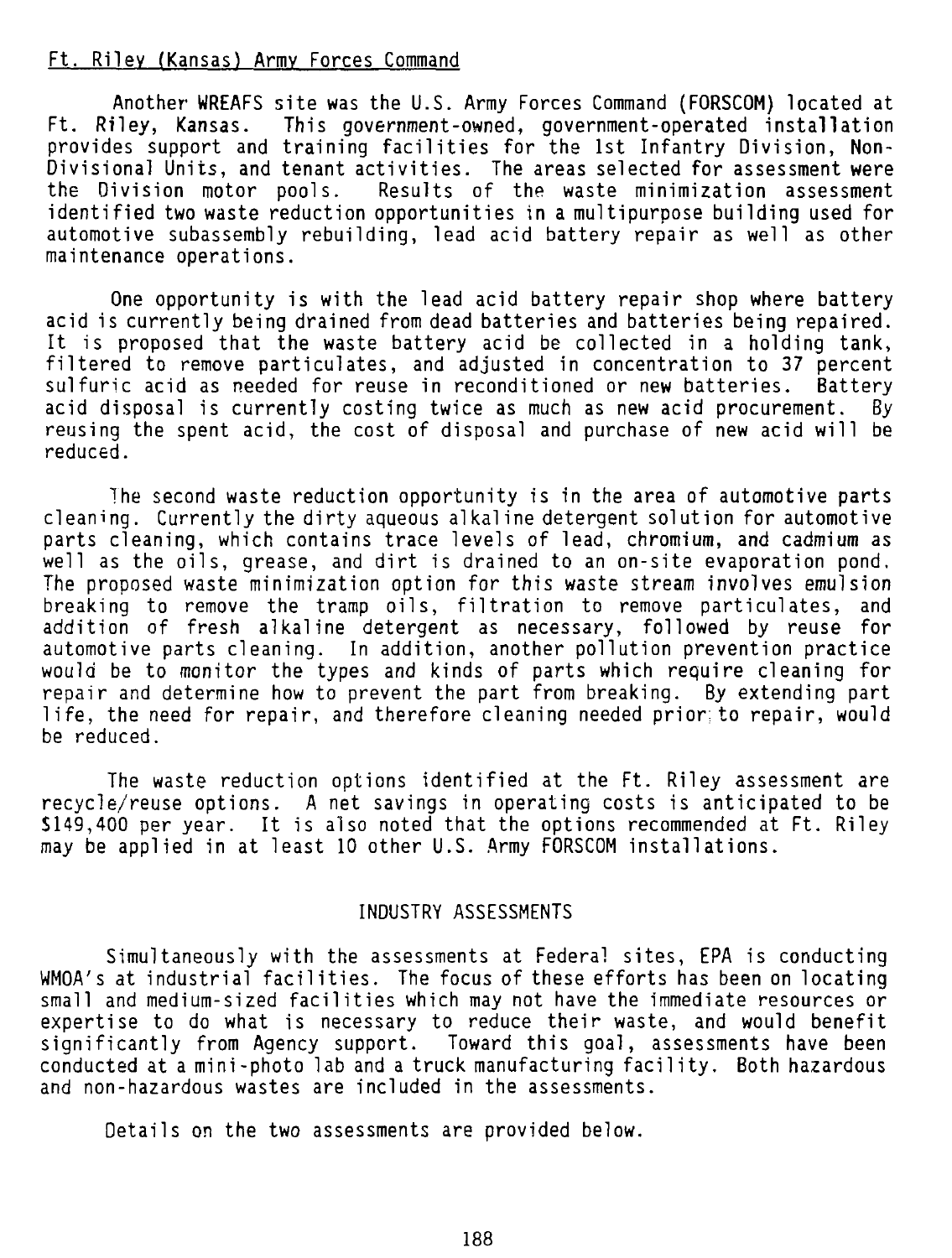#### Ft. Rilev (Kansas) Army Forces Command

Another WREAFS site was the U.S. Army Forces Command (FORSCOM) located at Ft. Riley, Kansas. This government-owned, government-operated installation provides support and training facilities for the 1st Infantry Division, Non-Divisional Units, and tenant activities. The areas selected for assessment were the Division motor pools. Results of the waste minimization assessment identified two waste reduction opportunities in a multipurpose building used for automotive subassembly rebuilding, lead acid battery repair as well as other maintenance operations.

One opportunity is with the lead acid battery repair shop where battery acid is currently being drained from dead batteries and batteries being repaired. It is proposed that the waste battery acid be collected in a holding tank, filtered to remove particulates, and adjusted in concentration to 37 percent sulfuric acid as needed for reuse in reconditioned or new batteries. Battery acid disposal is currently costing twice as much as new acid procurement. By reusing the spent acid, the cost of disposal and purchase of new acid will be reduced.

The second waste reduction opportunity is in the area of automotive parts cleaning. Currently the dirty aqueous alkaline detergent solution for automotive parts cleaning, which contains trace levels of lead, chromium, and cadmium as well as the oils, grease, and dirt is drained to an on-site evaporation pond. The proposed waste minimization option for this waste stream involves emulsion breaking to remove the tramp oils, filtration to remove particulates, and addition of fresh alkaline detergent as necessary, followed by reuse for automotive parts cleaning. In addition, another pollution prevention practice would be to monitor the types and kinds of parts which require cleaning for repair and determine how to prevent the part from breaking. By extending part life, the need for repair, and therefore cleaning needed prior;to repair, would be reduced.

The waste reduction options identified at the Ft. Riley assessment are recycle/reuse options. A net savings in operating costs is anticipated to be \$149,400 per year. It is also noted that the options recommended at Ft. Riley may be applied in at least 10 other U.S. Army FORSCOM installations.

#### INDUSTRY ASSESSMENTS

Simultaneously with the assessments at Federal sites, EPA is conducting WMOA's at industrial facilities. The focus of these efforts has been on locating small and medium-sized facilities which may not have the immediate resources or expertise to do what is necessary to reduce their waste, and would benefit significantly from Agency support. Toward this goal, assessments have been conducted at a mini-photo lab and a truck manufacturing facility. Both hazardous and non-hazardous wastes are included in the assessments.

Details on the two assessments are provided below.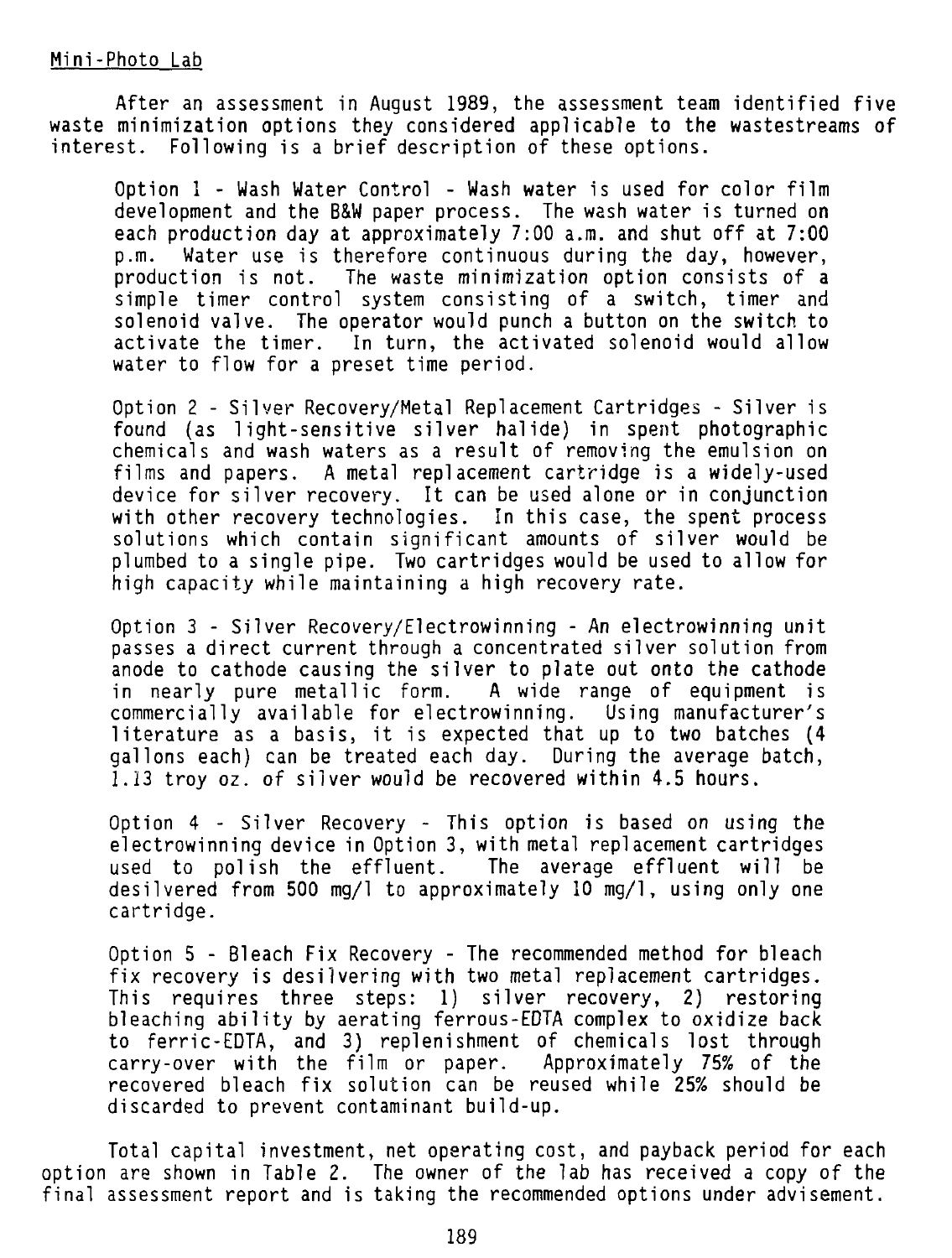#### Mini-Photo Lab

After an assessment in August 1989, the assessment team identified five waste minimization options they considered applicable to the wastestreams of interest. Following is a brief description of these options.

Option 1 - Wash Water Control - Wash water is used for color film development and the B&W paper process. The wash water is turned on each production day at approximately 7:00 a.m. and shut off at 7:00 p.m. Water use is therefore continuous during the day, however, production is not. The waste minimization option consists of a simple timer control system consisting of a switch, timer and solenoid valve. The operator would punch a button on the switch to activate the timer. In turn, the activated solenoid would allow water to flow for a preset time period.

Option 2 - Silver Recovery/Metal Replacement Cartridges - Silver is found (as light-sensitive silver halide) in spent photographic chemicals and wash waters as a result of removing the emulsion on films and papers. A metal replacement cartridge is a widely-used device for silver recovery. It can be used alone or in conjunction with other recovery technologies. In this case, the spent process solutions which contain significant amounts of silver would be plumbed to a single pipe. Two cartridges would be used to allow for high capacity while maintaining a high recovery rate.

Option 3 - Silver Recovery/Electrowinning - An electrowinning unit passes a direct current through a concentrated silver solution from anode to cathode causing the silver to plate out onto the cathode in nearly pure metallic form. A wide range of equipment is commercially available for electrowinning. Using manufacturer's literature as a basis, it is expected that up to two batches (4 gallons each) can be treated each day. During the average batch, 1.13 troy oz. of silver would be recovered within 4.5 hours.

Option 4 - Silver Recovery - This option is based on using the electrowinning device in Option 3, with metal replacement cartridges used to polish the effluent. The average effluent will be desilvered from 500 mg/1 to approximately 10 mg/1, using only one cartridge.

Option 5 - Bleach Fix Recovery - The recommended method for bleach fix recovery is desilvering with two metal replacement cartridges. This requires three steps: 1) silver recovery, 2) restoring bleaching ability by aerating ferrous-EDTA complex to oxidize back to ferric-EDTA, and 3) replenishment of chemicals lost through carry-over with the film or paper. Approximately 75% of the recovered bleach fix solution can be reused while 25% should be discarded to prevent contaminant build-up.

Total capital investment, net operating cost, and payback period for each option are shown in Table 2. The owner of the lab has received a copy of the final assessment report and is taking the recommended options under advisement.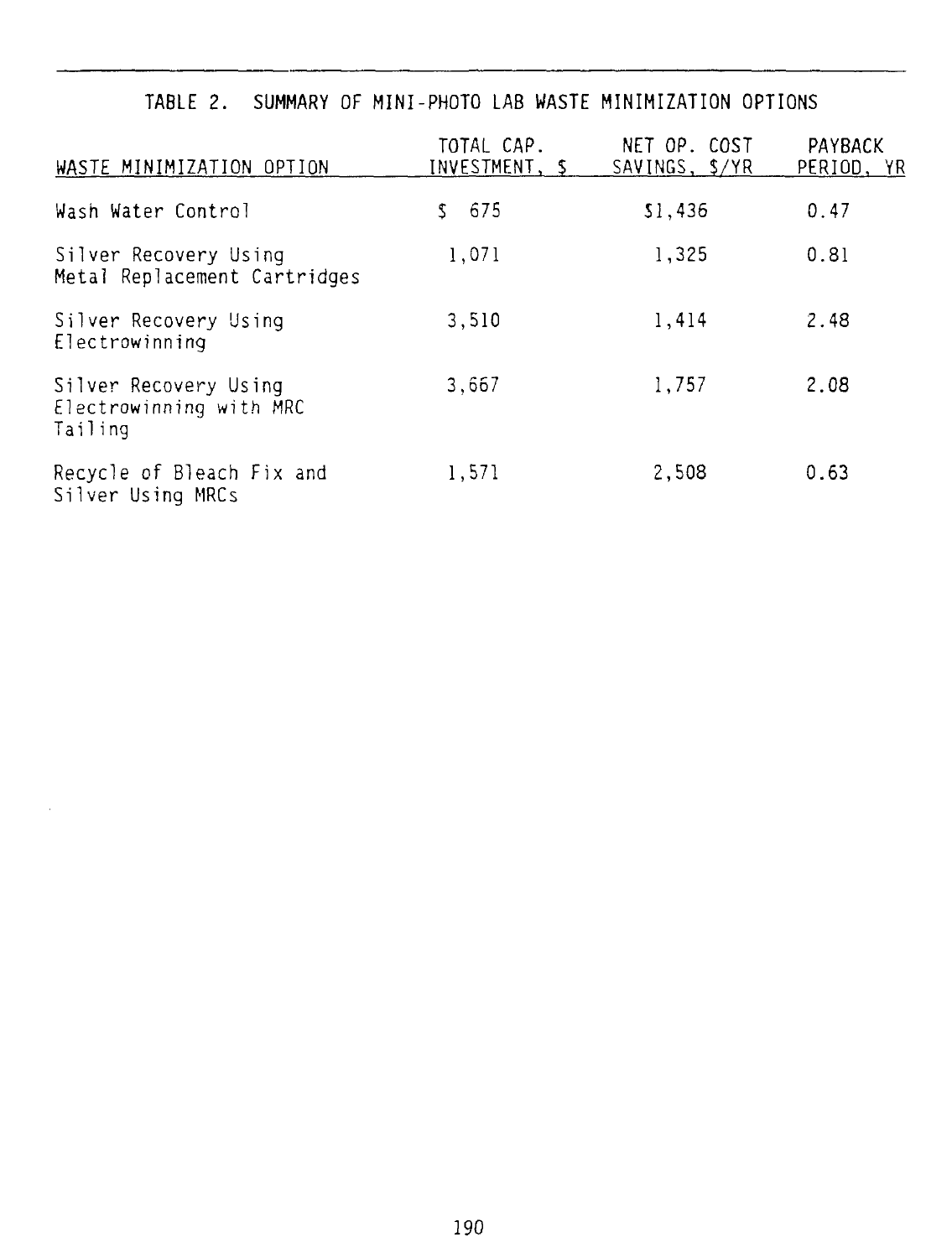| WASTE MINIMIZATION OPTION                                   | TOTAL CAP.<br>INVESTMENT, | NET OP. COST<br>SAVINGS, \$/YR | PAYBACK<br>PERIOD, YR |
|-------------------------------------------------------------|---------------------------|--------------------------------|-----------------------|
| Wash Water Control                                          | 675                       | \$1,436                        | 0.47                  |
| Silver Recovery Using<br>Metal Replacement Cartridges       | 1,071                     | 1,325                          | 0.81                  |
| Silver Recovery Using<br>Electrowinning                     | 3,510                     | 1,414                          | 2.48                  |
| Silver Recovery Using<br>Electrowinning with MRC<br>Tailing | 3,667                     | 1,757                          | 2.08                  |
| Recycle of Bleach Fix and<br>Silver Using MRCs              | 1,571                     | 2,508                          | 0.63                  |

TABLE 2. SUMMARY OF MINI-PHOTO LAB WASTE MINIMIZATION OPTIONS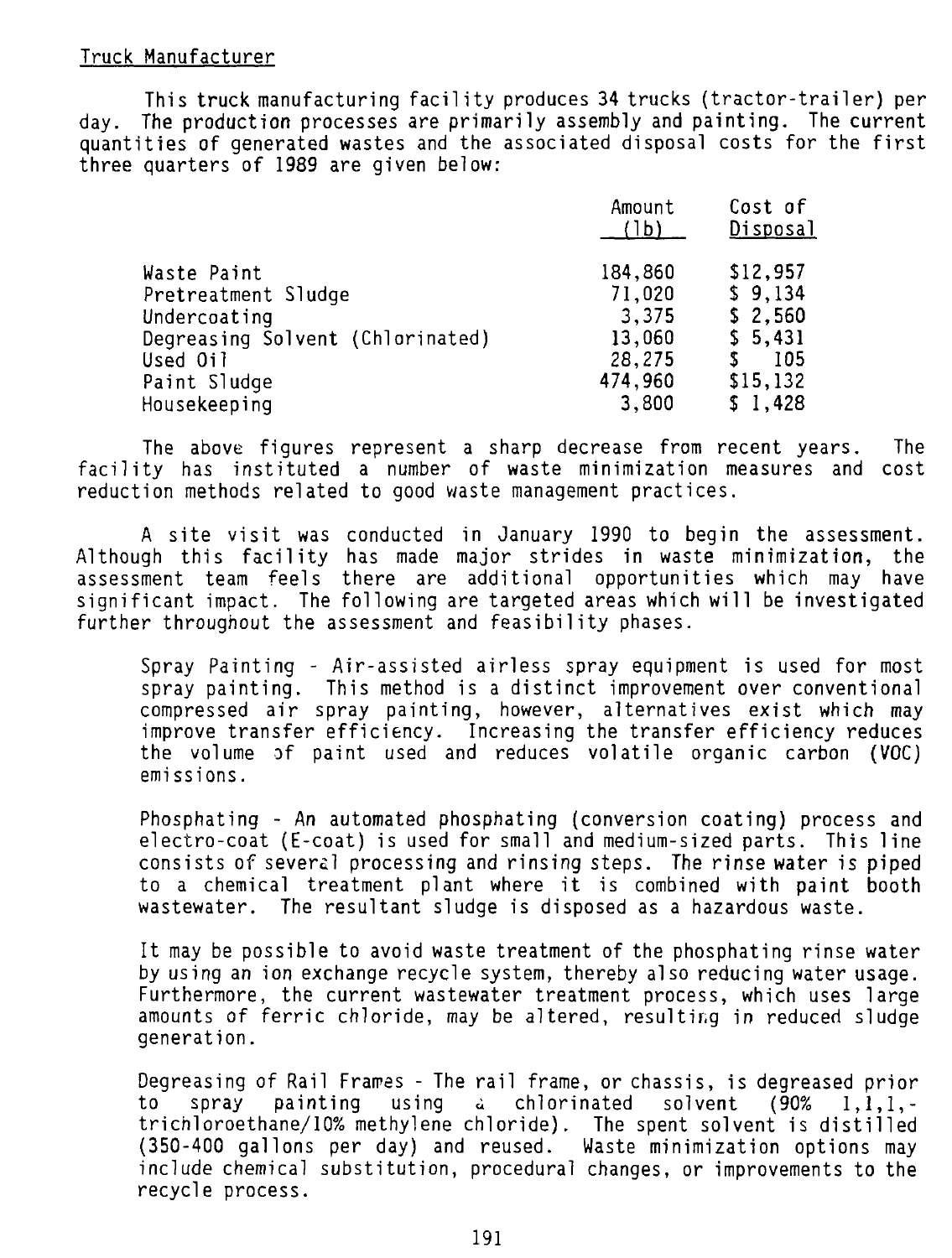#### Truck Manufacturer

This truck manufacturing facility produces 34 trucks (tractor-trailer) per day. The production processes are primarily assembly and painting. The current quantities of generated wastes and the associated disposal costs for the first three quarters of 1989 are given below:

|                                  | Amount<br>(1b) | Cost of<br>Disposal |
|----------------------------------|----------------|---------------------|
| Waste Paint                      | 184,860        | \$12,957            |
| Pretreatment Sludge              | 71,020         | \$9,134             |
| Undercoating                     | 3,375          | \$2,560             |
| Degreasing Solvent (Chlorinated) | 13,060         | \$5,431             |
| Used Oil                         | 28,275         | 105                 |
| Paint Sludge                     | 474,960        | \$15,132            |
| Housekeeping                     | 3,800          | \$1,428             |
|                                  |                |                     |

The above figures represent a sharp decrease from recent years. The facility has instituted a number of waste minimization measures and cost reduction methods related to good waste management practices.

A site visit was conducted in January 1990 to begin the assessment. Although this facility has made major strides in waste minimization, the assessment team feels there are additional opportunities which may have significant impact. The following are targeted areas which will be investigated further throughout the assessment and feasibility phases.

Spray Painting - Air-assisted airless spray equipment is used for most spray painting. This method is a distinct improvement over conventional compressed air spray painting, however, alternatives exist which may improve transfer efficiency. Increasing the transfer efficiency reduces the volume of paint used and reduces volatile organic carbon (VOC) emissions.

Phosphating - An automated phosphating (conversion coating) process and electro-coat (E-coat) is used for small and medium-sized parts. This line consists of several processing and rinsing steps. The rinse water is piped to a chemical treatment plant where it is combined with paint booth wastewater. The resultant sludge is disposed as a hazardous waste.

It may be possible to avoid waste treatment of the phosphating rinse water by using an ion exchange recycle system, thereby also reducing water usage. Furthermore, the current wastewater treatment process, which uses large amounts of ferric chloride, may be altered, resulting in reduced sludge generation.

Degreasing of Rail Frames - The rail frame, or chassis, is degreased prior<br>to spray painting using a chlorinated solvent (90% 1.1.1.to spray painting using a chlorinated solvent  $(90\% \quad 1,1,1,-1)$ trichloroethane/10% methylene chloride). The spent solvent is distilled (350-400 gallons per day) and reused. Waste minimization options may include chemical substitution, procedural changes, or improvements to the recycle process.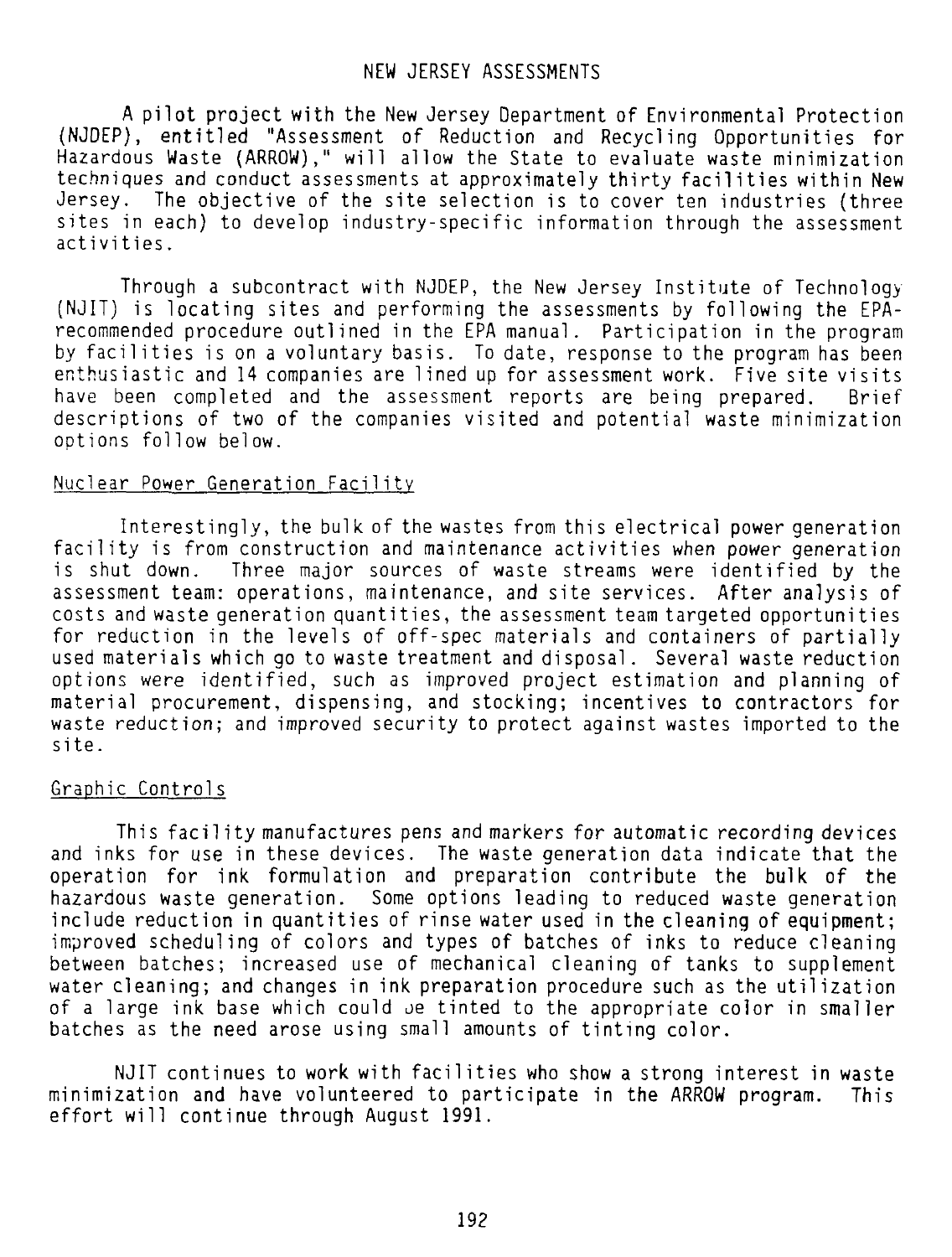## NEW JERSEY ASSESSMENTS

A pilot project with the New Jersey Department of Environmental Protection (NJDEP), entitled "Assessment of Reduction and Recycling Opportunities for Hazardous Waste (ARROW)," will allow the State to evaluate waste minimization techniques and conduct assessments at approximately thirty facilities within New Jersey. The objective of the site selection is to cover ten industries (three sites in each) to develop industry-specific information through the assessment activities.

Through a subcontract with NJDEP, the New Jersey Institute of Technology (NJIT) is locating sites and performing the assessments by following the EPArecommended procedure outlined in the EPA manual. Participation in the program by facilities is on a voluntary basis. To date, response to the program has been enthusiastic and 14 companies are lined up for assessment work. Five site visits have been completed and the assessment reports are being prepared. Brief descriptions of two of the companies visited and potential waste minimization options follow below.

#### Nuclear Power Generation Facility

Interestingly, the bulk of the wastes from this electrical power generation facility is from construction and maintenance activities when power generation is shut down. Three major sources of waste streams were identified by the assessment team: operations, maintenance, and site services. After analysis of costs and waste generation quantities, the assessment team targeted opportunities for reduction in the levels of off-spec materials and containers of partially used materials which go to waste treatment and disposal. Several waste reduction options were identified, such as improved project estimation and planning of material procurement, dispensing, and stocking; incentives to contractors for waste reduction; and improved security to protect against wastes imported to the site.

#### Graphic Controls

This facil ity manufactures pens and markers for automatic recording devices and inks for use in these devices. The waste generation data indicate that the operation for ink formulation and preparation contribute the bulk of the hazardous waste generation. Some options leading to reduced waste generation include reduction in quantities of rinse water used in the cleaning of equipment; improved scheduling of colors and types of batches of inks to reduce cleaning between batches; increased use of mechanical cleaning of tanks to supplement water cleaning; and changes in ink preparation procedure such as the utilization of a large ink base which could oe tinted to the appropriate color in smaller batches as the need arose using small amounts of tinting color.

NJIT continues to work with facilities who show a strong interest in waste minimization and have volunteered to participate in the ARROW program. This effort will continue through August 1991.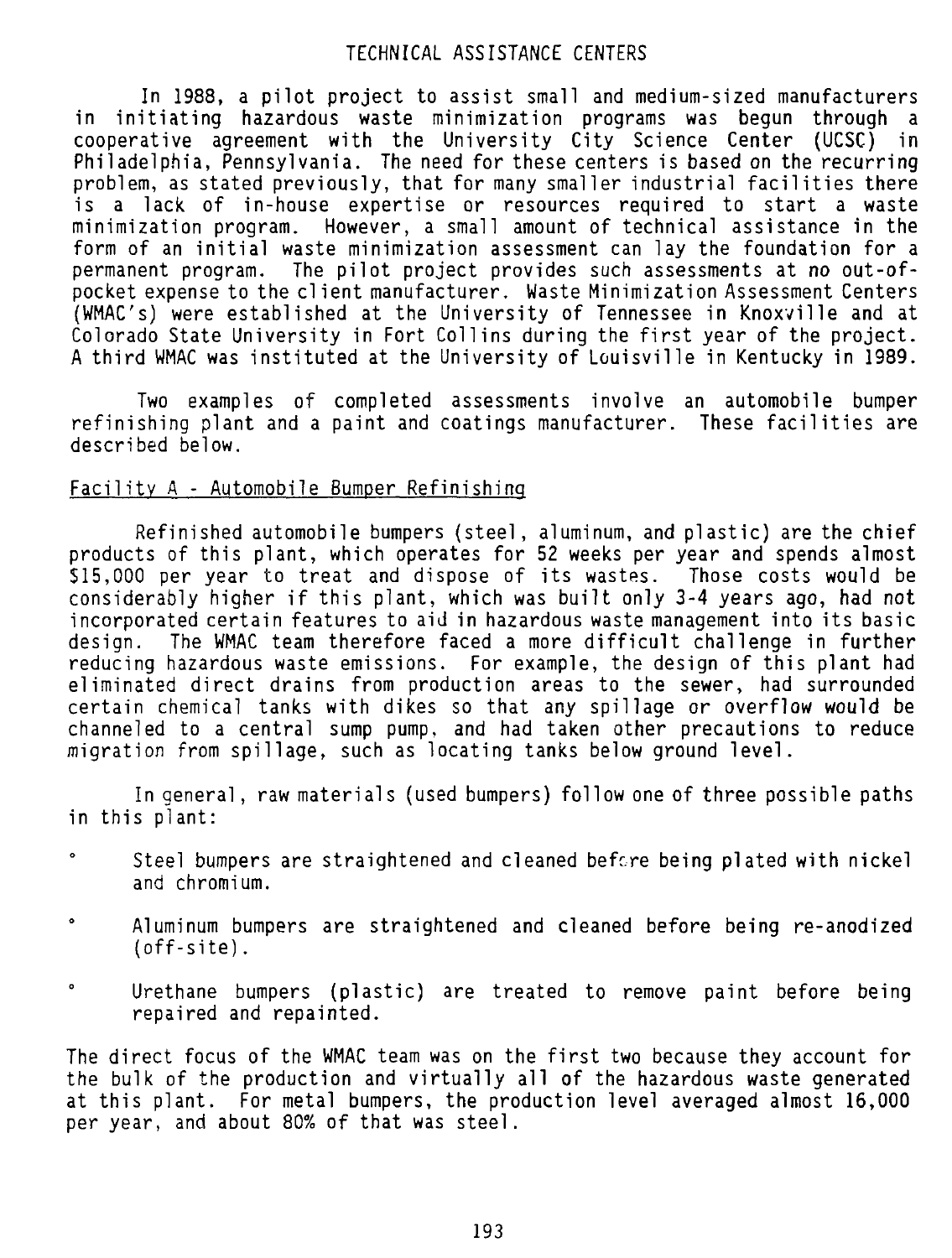## TECHNICAL ASSISTANCE CENTERS

In 1988, a pilot project to assist small and medium-sized manufacturers in initiating hazardous waste minimization programs was begun through a cooperative agreement with the University City Science Center (UCSC) in Philadelphia, Pennsylvania. The need for these centers is based on the recurring problem, as stated previously, that for many smaller industrial facilities there is a lack of in-house expertise or resources required to start a waste minimization program. However, a small amount of technical assistance in the form of an initial waste minimization assessment can lay the foundation for a permanent program. The pilot project provides such assessments at no out-ofpocket expense to the client manufacturer. Waste Minimization Assessment Centers (WMAC's) were established at the University of Tennessee in Knoxville and at Colorado State University in Fort Collins during the first year of the project. A third WMAC was instituted at the University of Louisville in Kentucky in 1989.

Two examples of completed assessments involve an automobile bumper refinishing plant and a paint and coatings manufacturer. These facilities are described below.

#### Facility A - Automobile Bumper Refinishinq

Refinished automobile bumpers (steel, aluminum, and plastic) are the chief products of this plant, which operates for 52 weeks per year and spends almost \$15,000 per year to treat and dispose of its wastes. Those costs would be considerably higher if this plant, which was built only 3-4 years ago, had not incorporated certain features to aid in hazardous waste management into its basic design. The WMAC team therefore faced a more difficult challenge in further reducing hazardous waste emissions. For example, the design of this plant had eliminated direct drains from production areas to the sewer, had surrounded certain chemical tanks with dikes so that any spillage or overflow would be channeled to a central sump pump, and had taken other precautions to reduce migration from spillage, such as locating tanks below ground level.

In general, raw materials (used bumpers) follow one of three possible paths in this plant:

- $\bullet$ Steel bumpers are straightened and cleaned before being plated with nickel and chromium.
- $\bullet$ Aluminum bumpers are straightened and cleaned before being re-anodized (off-site).
- $\bullet$ Urethane bumpers (plastic) are treated to remove paint before being repaired and repainted.

The direct focus of the WMAC team was on the first two because they account for the bulk of the production and virtually all of the hazardous waste generated at this plant. For metal bumpers, the production level averaged almost 16,000 per year, and about 80% of that was steel.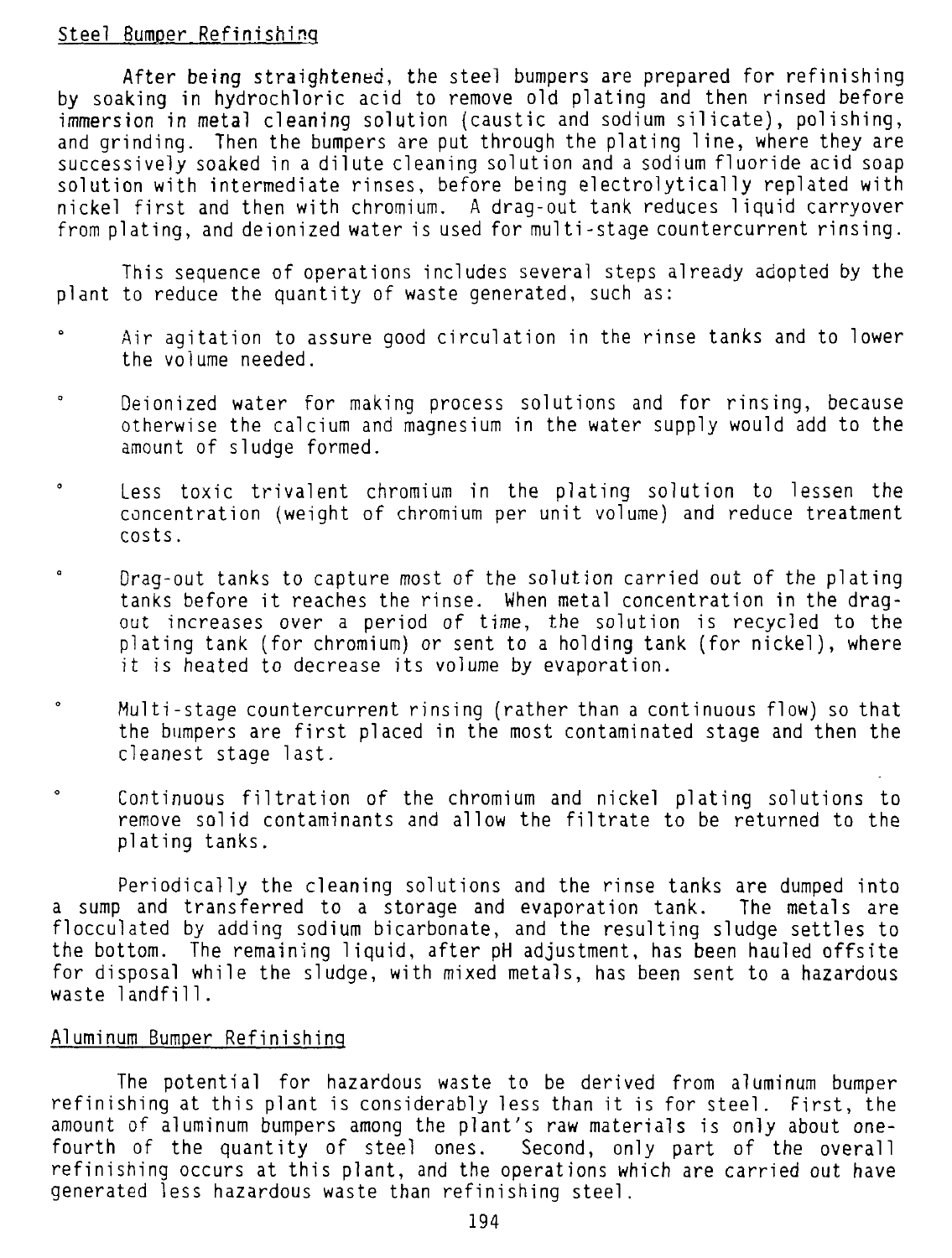#### Steel Bumper Refinishing

After being straightened, the steel bumpers are prepared for refinishing by soaking in hydrochloric acid to remove old plating and then rinsed before immersion in metal cleaning solution (caustic and sodium silicate), polishing, and grinding. Then the bumpers are put through the plating line, where they are successively soaked in a dilute cleaning solution and a sodium fluoride acid soap solution with intermediate rinses, before being electrolytically replated with nickel first and then with chromium. A drag-out tank reduces liquid carryover from plating, and deionized water is used for multi-stage countercurrent rinsing.

This sequence of operations includes several steps already adopted by the plant to reduce the quantity of waste generated, such as:

- Air agitation to assure good circulation in the rinse tanks and to lower the volume needed.
- $\pmb{\mathsf{o}}$ Oeionized water for making process solutions and for rinsing, because otherwise the calcium and magnesium in the water supply would add to the amount of sludge formed.
- $\bullet$ Less toxic trivalent chromium in the plating solution to lessen the concentration (weight of chromium per unit volume) and reduce treatment costs.
- $\bullet$ Drag-out tanks to capture most of the solution carried out of the plating tanks before it reaches the rinse. When metal concentration in the dragout increases over a period of time, the solution is recycled to the plating tank (for chromium) or sent to a holding tank (for nickel), where it is heated to decrease its volume by evaporation.
- $\bullet$ Multi-stage countercurrent rinsing (rather than a continuous flow) so that the bumpers are first placed in the most contaminated stage and then the cleanest stage last.
- $\bullet$ Continuous filtration of the chromium and nickel plating solutions to remove solid contaminants and allow the filtrate to be returned to the plating tanks.

Periodically the cleaning solutions and the rinse tanks are dumped into a sump and transferred to a storage and evaporation tank. The metals are flocculated by adding sodium bicarbonate, and the resulting sludge settles to the bottom. The remaining liquid, after pH adjustment, has been hauled offsite for disposal while the sludge, with mixed metals, has been sent to a hazardous waste 1andfil1.

#### Aluminum Bumper Refinishing

The potential for hazardous waste to be derived from aluminum bumper refinishing at this plant is considerably less than it is for steel. First, the amount of aluminum bumpers among the plant's raw materials is only about onefourth of the quantity of steel ones. Second, only part of the overall refinishing occurs at this plant, and the operations which are carried out have generated less hazardous waste than refinishing steel.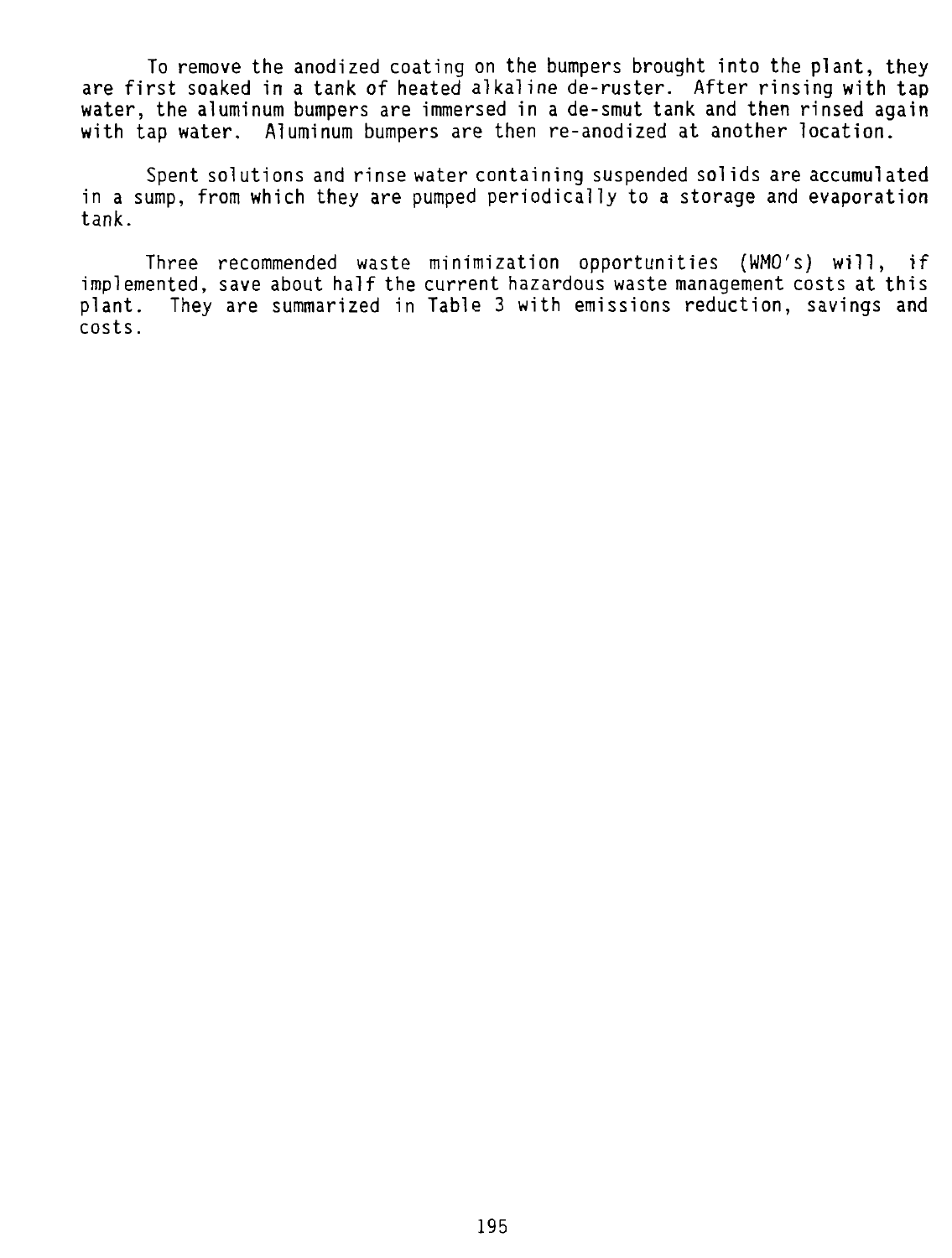To remove the anodized coating on the bumpers brought into the plant, they are first soaked in a tank of heated alkaline de-ruster. After rinsing with tap water, the aluminum bumpers are immersed in a de-smut tank and then rinsed again with tap water. Aluminum bumpers are then re-anodized at another location.

Spent solutions and rinse water containing suspended solids are accumulated in a sump, from which they are pumped periodically to a storage and evaporation tank.

Three recommended waste minimization opportunities (WMO's) will, if implemented, save about half the current hazardous waste management costs at this plant. They are summarized in Table 3 with emissions reduction, savings and costs.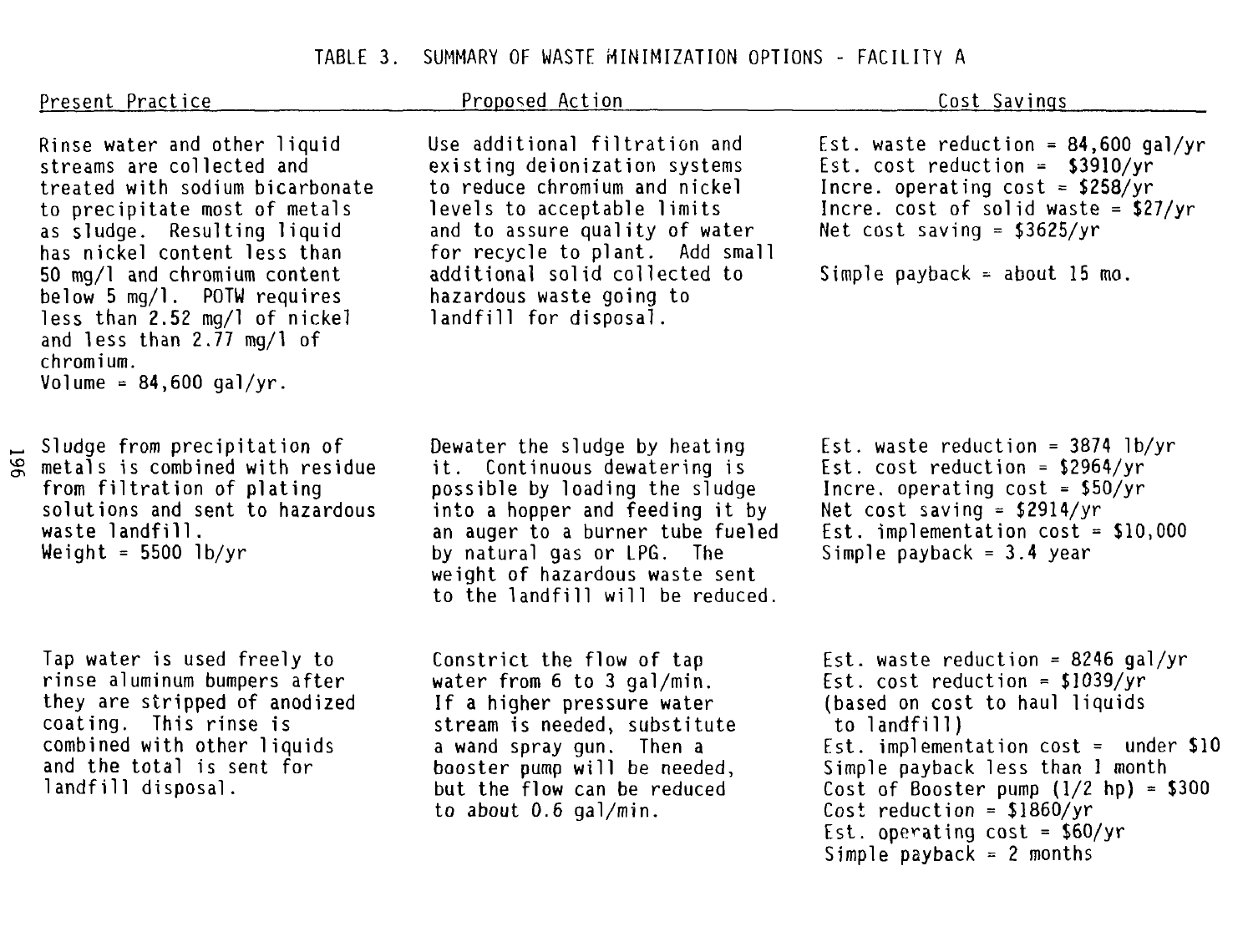| Present Practice                                                                                                                                                                                                                                                                                                                                                       | Proposed Action                                                                                                                                                                                                                                                                            | Cost Savings                                                                                                                                                                                                                                                                                                                                    |
|------------------------------------------------------------------------------------------------------------------------------------------------------------------------------------------------------------------------------------------------------------------------------------------------------------------------------------------------------------------------|--------------------------------------------------------------------------------------------------------------------------------------------------------------------------------------------------------------------------------------------------------------------------------------------|-------------------------------------------------------------------------------------------------------------------------------------------------------------------------------------------------------------------------------------------------------------------------------------------------------------------------------------------------|
| Rinse water and other liquid<br>streams are collected and<br>treated with sodium bicarbonate<br>to precipitate most of metals<br>as sludge. Resulting liquid<br>has nickel content less than<br>50 mg/l and chromium content<br>below 5 mg/l. POTW requires<br>less than 2.52 mg/l of nickel<br>and less than $2.77$ mg/l of<br>chromium.<br>Volume = $84,600$ gal/yr. | Use additional filtration and<br>existing deionization systems<br>to reduce chromium and nickel<br>levels to acceptable limits<br>and to assure quality of water<br>for recycle to plant. Add small<br>additional solid collected to<br>hazardous waste going to<br>landfill for disposal. | Est. waste reduction = $84,600$ gal/yr<br>Est. cost reduction = $$3910/yr$<br>Incre. operating cost = $$258/yr$<br>Incre. cost of solid waste = $$27/yr$<br>Net cost saving = $$3625/yr$<br>Simple payback = about 15 mo.                                                                                                                       |
| Sludge from precipitation of<br>metals is combined with residue<br>from filtration of plating<br>solutions and sent to hazardous<br>waste landfill.<br>Weight = $5500$ lb/yr                                                                                                                                                                                           | Dewater the sludge by heating<br>it. Continuous dewatering is<br>possible by loading the sludge<br>into a hopper and feeding it by<br>an auger to a burner tube fueled<br>by natural gas or LPG. The<br>weight of hazardous waste sent<br>to the landfill will be reduced.                 | Est. waste reduction = $3874$ lb/yr<br>Est. cost reduction = $$2964/yr$<br>Incre. operating cost = $$50/yr$<br>Net cost saving = $$2914/yr$<br>Est. implementation cost = $$10,000$<br>Simple payback = $3.4$ year                                                                                                                              |
| Tap water is used freely to<br>rinse aluminum bumpers after<br>they are stripped of anodized<br>coating. This rinse is<br>combined with other liquids<br>and the total is sent for<br>landfill disposal.                                                                                                                                                               | Constrict the flow of tap<br>water from 6 to 3 gal/min.<br>If a higher pressure water<br>stream is needed, substitute<br>a wand spray gun. Then a<br>booster pump will be needed,<br>but the flow can be reduced<br>to about $0.6$ gal/min.                                                | Est. waste reduction = 8246 gal/yr<br>Est. cost reduction = $$1039/yr$<br>(based on cost to haul liquids<br>to landfill)<br>Est. implementation $cost = under $10$<br>Simple payback less than 1 month<br>Cost of Booster pump $(1/2$ hp) = \$300<br>Cost reduction = $$1860/yr$<br>Est. operating $cost = $60/yr$<br>Simple payback = 2 months |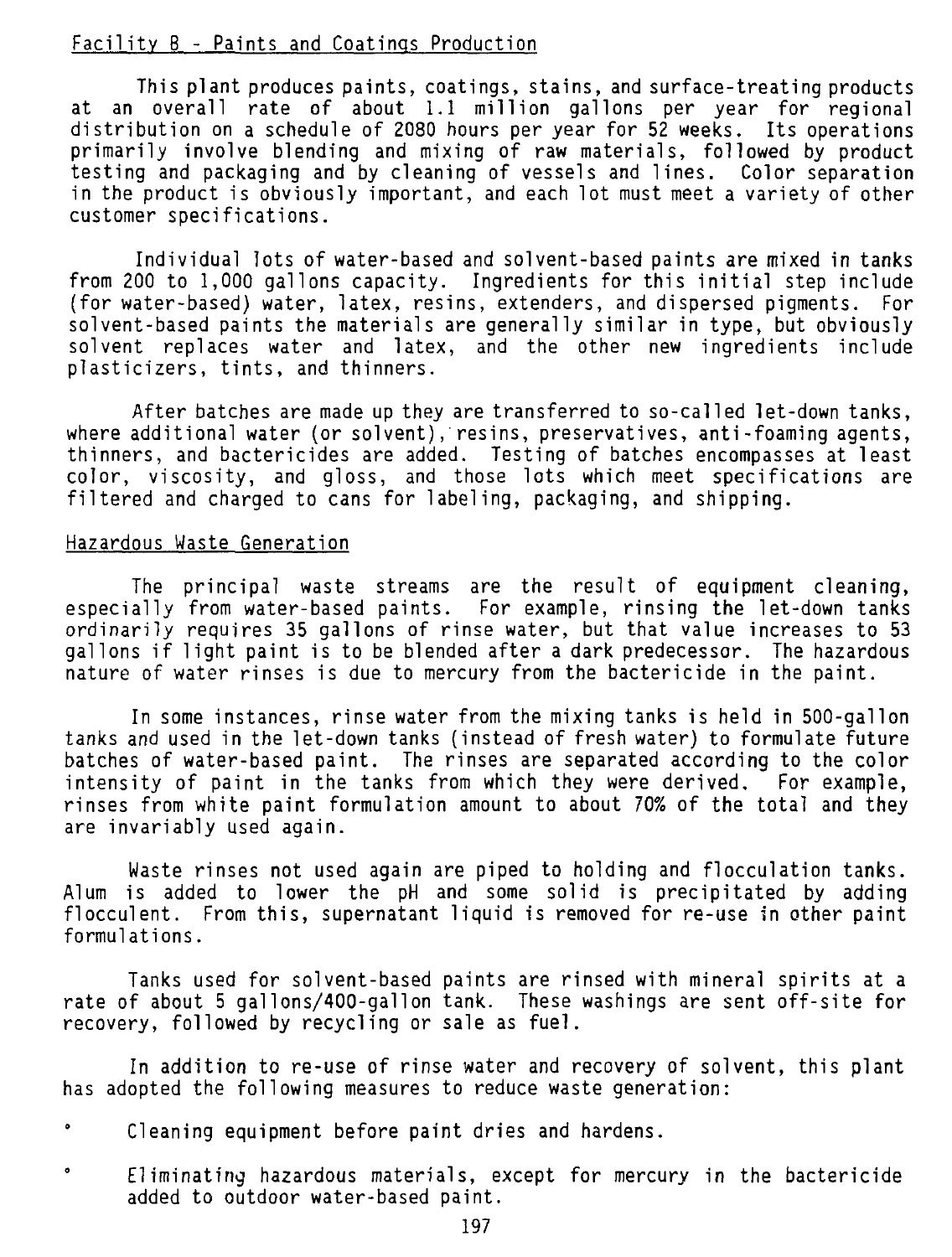## Facility B - Paints and Coatings Production

This plant produces paints, coatings, stains, and surface-treating products at an overall rate of about 1.1 million gallons per year for regional distribution on a schedule of 2080 hours per year for 52 weeks. Its operations primarily involve blending and mixing of raw materials, followed by product testing and packaging and by cleaning of vessels and lines. Color separation in the product is obviously important, and each lot must meet a variety of other customer specifications.

Individual lots of water-based and solvent-based paints are mixed in tanks from 200 to 1,000 gallons capacity. Ingredients for this initial step include (for water-based) water, latex, resins, extenders, and dispersed pigments. For solvent-based paints the materials are generally similar in type, but obviously solvent replaces water and latex, and the other new ingredients include plasticizers, tints, and thinners.

After batches are made up they are transferred to so-called let-down tanks, where additional water (or solvent), resins, preservatives, anti-foaming agents, thinners, and bactericides are added. Testing of batches encompasses at least color, viscosity, and gloss, and those lots which meet specifications are filtered and charged to cans for labeling, packaging, and shipping.

## Hazardous Waste Generation

The principal waste streams are the result of equipment cleaning, especially from water-based paints. For example, rinsing the let-down tanks ordinarily requires 35 gallons of rinse water, but that value increases to 53 gallons if light paint is to be blended after a dark predecessor. The hazardous nature of water rinses is due to mercury from the bactericide in the paint.

In some instances, rinse water from the mixing tanks is held in 500-gallon tanks and used in the let-down tanks (instead of fresh water) to formulate future batches of water-based paint. The rinses are separated according to the color intensity of paint in the tanks from which they were derived. For example, rinses from white paint formulation amount to about 70% of the total and they are invariably used again.

Waste rinses not used again are piped to holding and flocculation tanks. Alum is added to lower the pH and some solid is precipitated by adding flocculent. From this, supernatant liquid is removed for re-use in other paint formulations.

Tanks used for solvent-based paints are rinsed with mineral spirits at a rate of about 5 gallons/400-gallon tank. These washings are sent off-site for recovery, followed by recycling or sale as fuel.

In addition to re-use of rinse water and recovery of solvent, this plant has adopted the following measures to reduce waste generation:

- Cleaning equipment before paint dries and hardens.
- Eliminating hazardous materials, except for mercury in the bactericide added to outdoor water-based paint.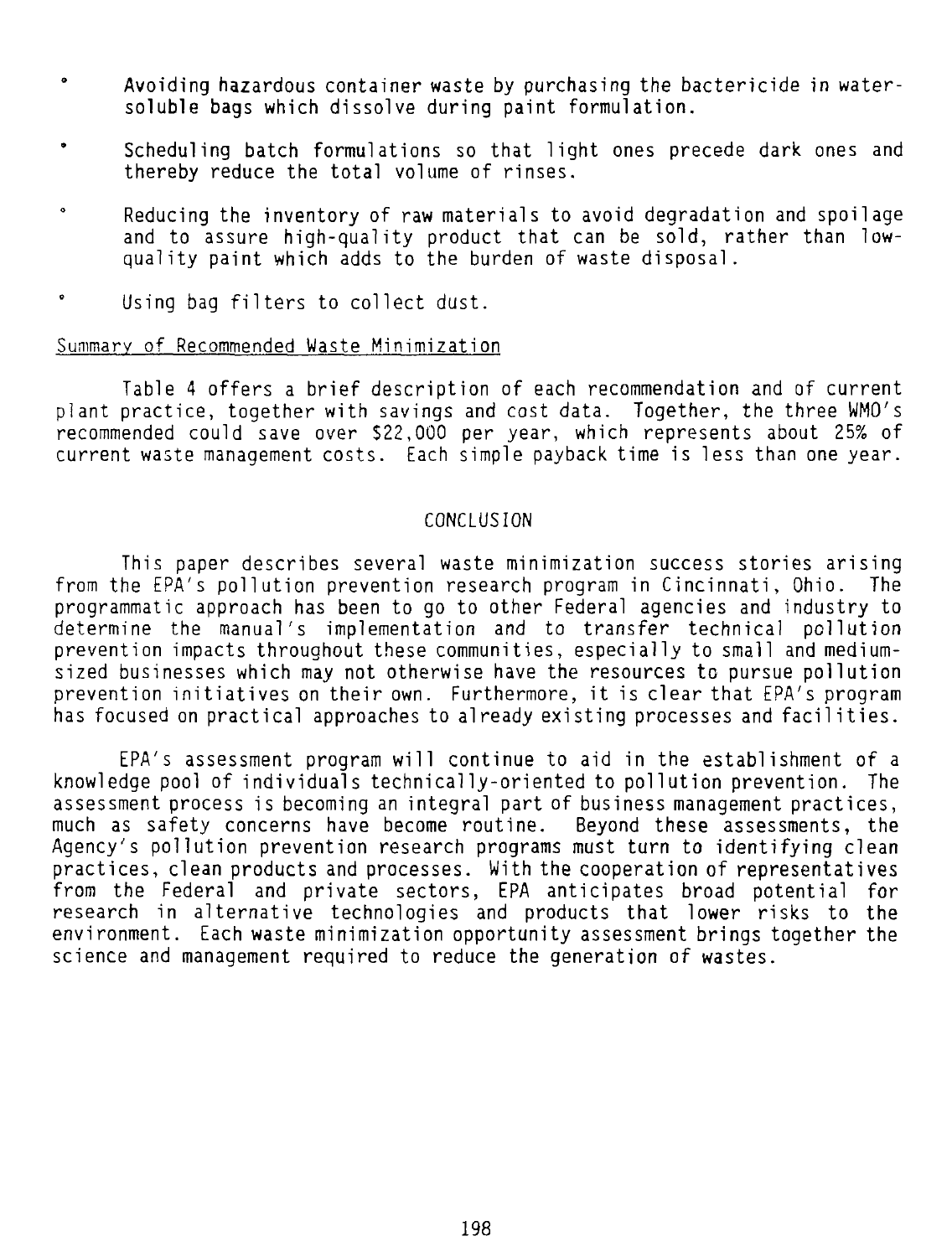- Avoiding hazardous container waste by purchasing the bactericide in watersoluble bags which dissolve during paint formulation.
- $\bullet$ Scheduling batch formulations so that light ones precede dark ones and thereby reduce the total volume of rinses.
- $\alpha$ Reducing the inventory of raw materials to avoid degradation and spoilage and to assure high-quality product that can be sold, rather than lowquality paint which adds to the burden of waste disposal.
- $\bullet$ Using bag filters to collect dust.

#### Summary of Recommended Waste Minimization

Table 4 offers a brief description of each recommendation and of current plant practice, together with savings and cost data. Together, the three WMO's recommended could save over \$22,000 per year, which represents about 25% of current waste management costs. Each simple payback time is less than one year.

#### CONCLUSION

This paper describes several waste minimization success stories arising from the EPA's pollution prevention research program in Cincinnati, Ohio. The programmatic approach has been to go to other Federal agencies and industry to determine the manual's implementation and to transfer technical pollution prevention impacts throughout these communities, especially to small and mediumsized businesses which may not otherwise have the resources to pursue pollution prevention initiatives on their own. Furthermore, it is clear that EPA's program has focused on practical approaches to already existing processes and facilities.

EPA's assessment program will continue to aid in the establishment of a knowledge pool of individuals technically-oriented to pollution prevention. The assessment process is becoming an integral part of business management practices, much as safety concerns have become routine. Beyond these assessments, the Agency's pollution prevention research programs must turn to identifying clean practices, clean products and processes. With the cooperation of representatives from the Federal and private sectors, EPA anticipates broad potential for research in alternative technologies and products that lower risks to the environment. Each waste minimization opportunity assessment brings together the science and management required to reduce the generation of wastes.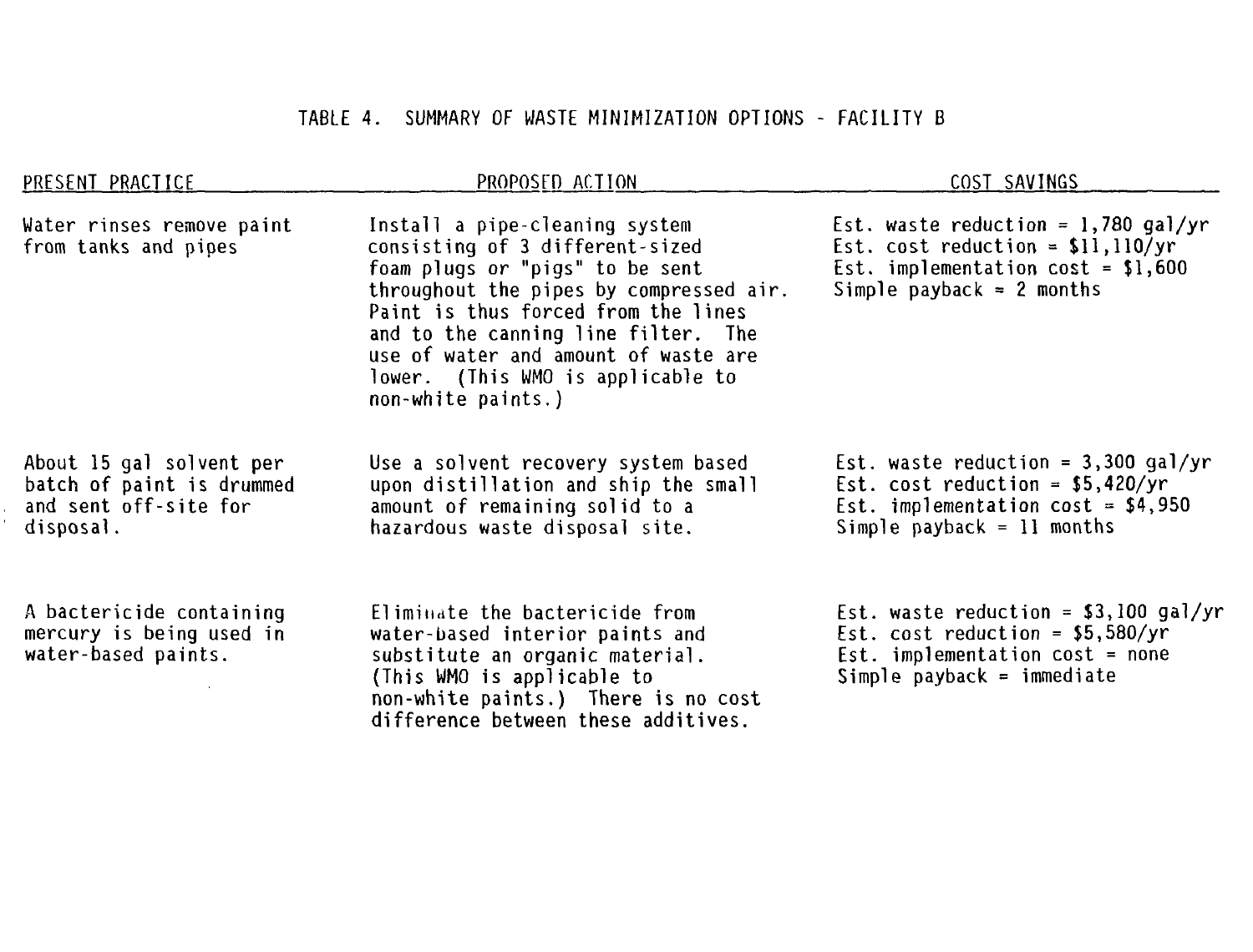TABLE 4. SUMMARY OF WASTE MINIMIZATION OPTIONS - FACILITY B

| PRESENT PRACTICE                                                                            | PROPOSED ACTION                                                                                                                                                                                                                                                                                                                  | COST SAVINGS                                                                                                                                      |
|---------------------------------------------------------------------------------------------|----------------------------------------------------------------------------------------------------------------------------------------------------------------------------------------------------------------------------------------------------------------------------------------------------------------------------------|---------------------------------------------------------------------------------------------------------------------------------------------------|
| Water rinses remove paint<br>from tanks and pipes                                           | Install a pipe-cleaning system<br>consisting of 3 different-sized<br>foam plugs or "pigs" to be sent<br>throughout the pipes by compressed air.<br>Paint is thus forced from the lines<br>and to the canning line filter. The<br>use of water and amount of waste are<br>lower. (This WMO is applicable to<br>non-white paints.) | Est. waste reduction = $1,780$ gal/yr<br>Est. cost reduction = $$11,110/yr$<br>Est. implementation $cost = $1,600$<br>Simple payback = 2 months   |
| About 15 gal solvent per<br>batch of paint is drummed<br>and sent off-site for<br>disposal. | Use a solvent recovery system based<br>upon distillation and ship the small<br>amount of remaining solid to a<br>hazardous waste disposal site.                                                                                                                                                                                  | Est. waste reduction = $3,300$ gal/yr<br>Est. cost reduction = $$5,420/yr$<br>Est. implementation $cost = $4,950$<br>Simple payback = $11$ months |
| A bactericide containing<br>mercury is being used in<br>water-based paints.                 | Eliminate the bactericide from<br>water-based interior paints and<br>substitute an organic material.<br>(This WMO is applicable to<br>non-white paints.) There is no cost<br>difference between these additives.                                                                                                                 | Est. waste reduction = $$3,100$ gal/yr<br>Est. cost reduction = $$5,580/yr$<br>Est. implementation $cost = none$<br>Simple payback = immediate    |